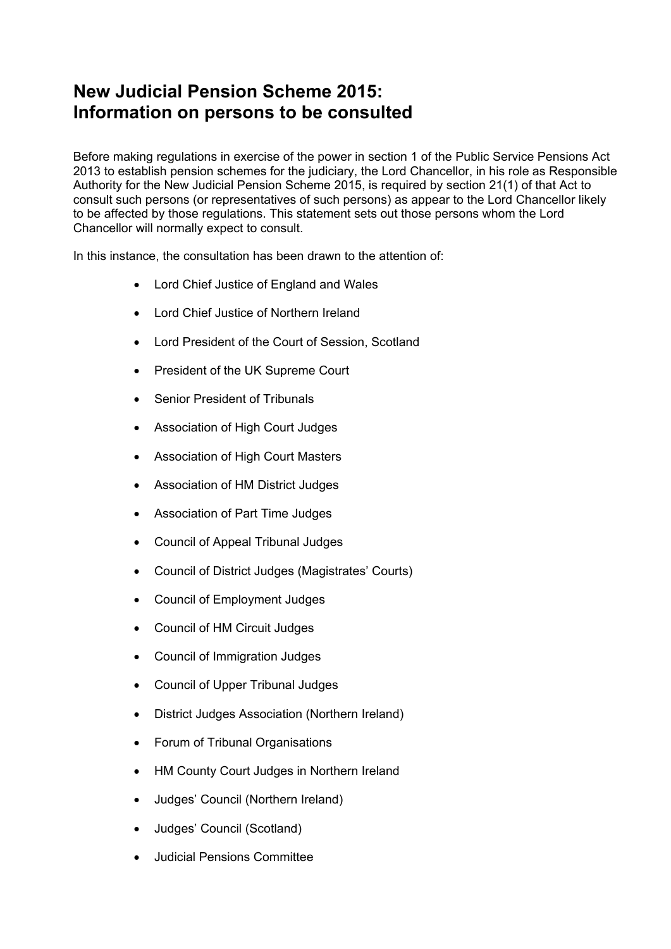## **New Judicial Pension Scheme 2015: Information on persons to be consulted**

Before making regulations in exercise of the power in section 1 of the Public Service Pensions Act 2013 to establish pension schemes for the judiciary, the Lord Chancellor, in his role as Responsible Authority for the New Judicial Pension Scheme 2015, is required by section 21(1) of that Act to consult such persons (or representatives of such persons) as appear to the Lord Chancellor likely to be affected by those regulations. This statement sets out those persons whom the Lord Chancellor will normally expect to consult.

In this instance, the consultation has been drawn to the attention of:

- Lord Chief Justice of England and Wales
- Lord Chief Justice of Northern Ireland
- Lord President of the Court of Session, Scotland
- President of the UK Supreme Court
- Senior President of Tribunals
- Association of High Court Judges
- Association of High Court Masters
- Association of HM District Judges
- Association of Part Time Judges
- Council of Appeal Tribunal Judges
- Council of District Judges (Magistrates' Courts)
- Council of Employment Judges
- Council of HM Circuit Judges
- Council of Immigration Judges
- Council of Upper Tribunal Judges
- District Judges Association (Northern Ireland)
- Forum of Tribunal Organisations
- HM County Court Judges in Northern Ireland
- Judges' Council (Northern Ireland)
- Judges' Council (Scotland)
- Judicial Pensions Committee